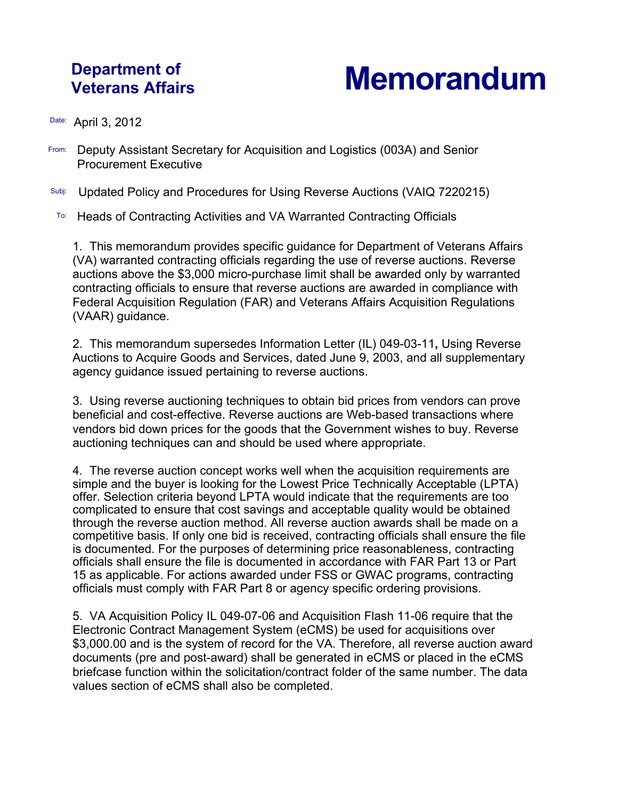## **Department of**

## **Veterans Affairs Memorandum**

Date: April 3, 2012

- From: Deputy Assistant Secretary for Acquisition and Logistics (003A) and Senior Procurement Executive
- Subj: Updated Policy and Procedures for Using Reverse Auctions (VAIQ 7220215)
- To: Heads of Contracting Activities and VA Warranted Contracting Officials

1. This memorandum provides specific guidance for Department of Veterans Affairs (VA) warranted contracting officials regarding the use of reverse auctions. Reverse auctions above the \$3,000 micro-purchase limit shall be awarded only by warranted contracting officials to ensure that reverse auctions are awarded in compliance with Federal Acquisition Regulation (FAR) and Veterans Affairs Acquisition Regulations (VAAR) guidance.

2. This memorandum supersedes Information Letter (IL) 049-03-11**,** Using Reverse Auctions to Acquire Goods and Services, dated June 9, 2003, and all supplementary agency guidance issued pertaining to reverse auctions.

3. Using reverse auctioning techniques to obtain bid prices from vendors can prove beneficial and cost-effective. Reverse auctions are Web-based transactions where vendors bid down prices for the goods that the Government wishes to buy. Reverse auctioning techniques can and should be used where appropriate.

4. The reverse auction concept works well when the acquisition requirements are simple and the buyer is looking for the Lowest Price Technically Acceptable (LPTA) offer. Selection criteria beyond LPTA would indicate that the requirements are too complicated to ensure that cost savings and acceptable quality would be obtained through the reverse auction method. All reverse auction awards shall be made on a competitive basis. If only one bid is received, contracting officials shall ensure the file is documented. For the purposes of determining price reasonableness, contracting officials shall ensure the file is documented in accordance with FAR Part 13 or Part 15 as applicable. For actions awarded under FSS or GWAC programs, contracting officials must comply with FAR Part 8 or agency specific ordering provisions.

5. VA Acquisition Policy IL 049-07-06 and Acquisition Flash 11-06 require that the Electronic Contract Management System (eCMS) be used for acquisitions over \$3,000.00 and is the system of record for the VA. Therefore, all reverse auction award documents (pre and post-award) shall be generated in eCMS or placed in the eCMS briefcase function within the solicitation/contract folder of the same number. The data values section of eCMS shall also be completed.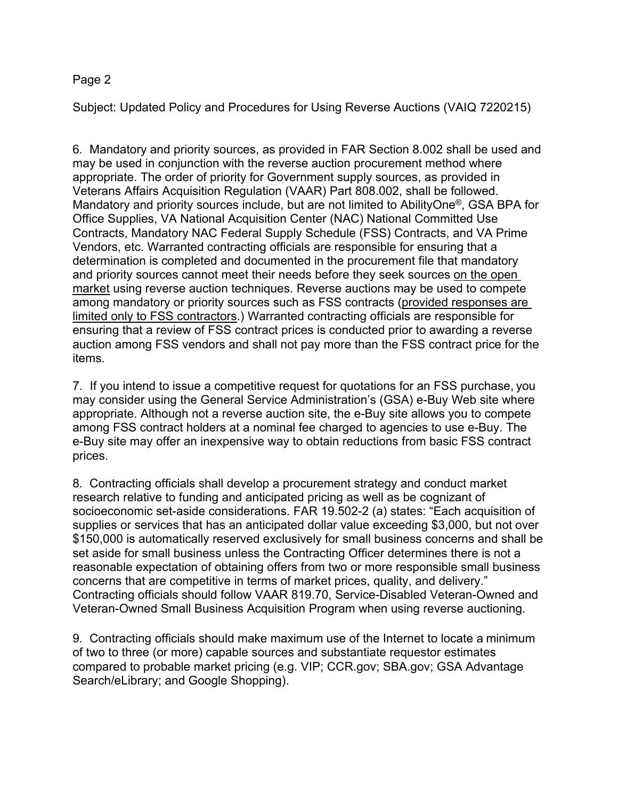## Page 2

Subject: Updated Policy and Procedures for Using Reverse Auctions (VAIQ 7220215)

6. Mandatory and priority sources, as provided in FAR Section 8.002 shall be used and may be used in conjunction with the reverse auction procurement method where appropriate. The order of priority for Government supply sources, as provided in Veterans Affairs Acquisition Regulation (VAAR) Part 808.002, shall be followed. Mandatory and priority sources include, but are not limited to AbilityOne®, GSA BPA for Office Supplies, VA National Acquisition Center (NAC) National Committed Use Contracts, Mandatory NAC Federal Supply Schedule (FSS) Contracts, and VA Prime Vendors, etc. Warranted contracting officials are responsible for ensuring that a determination is completed and documented in the procurement file that mandatory and priority sources cannot meet their needs before they seek sources on the open market using reverse auction techniques. Reverse auctions may be used to compete among mandatory or priority sources such as FSS contracts (provided responses are limited only to FSS contractors.) Warranted contracting officials are responsible for ensuring that a review of FSS contract prices is conducted prior to awarding a reverse auction among FSS vendors and shall not pay more than the FSS contract price for the items.

7. If you intend to issue a competitive request for quotations for an FSS purchase, you may consider using the General Service Administration's (GSA) e-Buy Web site where appropriate. Although not a reverse auction site, the e-Buy site allows you to compete among FSS contract holders at a nominal fee charged to agencies to use e-Buy. The e-Buy site may offer an inexpensive way to obtain reductions from basic FSS contract prices.

8. Contracting officials shall develop a procurement strategy and conduct market research relative to funding and anticipated pricing as well as be cognizant of socioeconomic set-aside considerations. FAR 19.502-2 (a) states: "Each acquisition of supplies or services that has an anticipated dollar value exceeding \$3,000, but not over \$150,000 is automatically reserved exclusively for small business concerns and shall be set aside for small business unless the Contracting Officer determines there is not a reasonable expectation of obtaining offers from two or more responsible small business concerns that are competitive in terms of market prices, quality, and delivery." Contracting officials should follow VAAR 819.70, Service-Disabled Veteran-Owned and Veteran-Owned Small Business Acquisition Program when using reverse auctioning.

9. Contracting officials should make maximum use of the Internet to locate a minimum of two to three (or more) capable sources and substantiate requestor estimates compared to probable market pricing (e.g. VIP; CCR.gov; SBA.gov; GSA Advantage Search/eLibrary; and Google Shopping).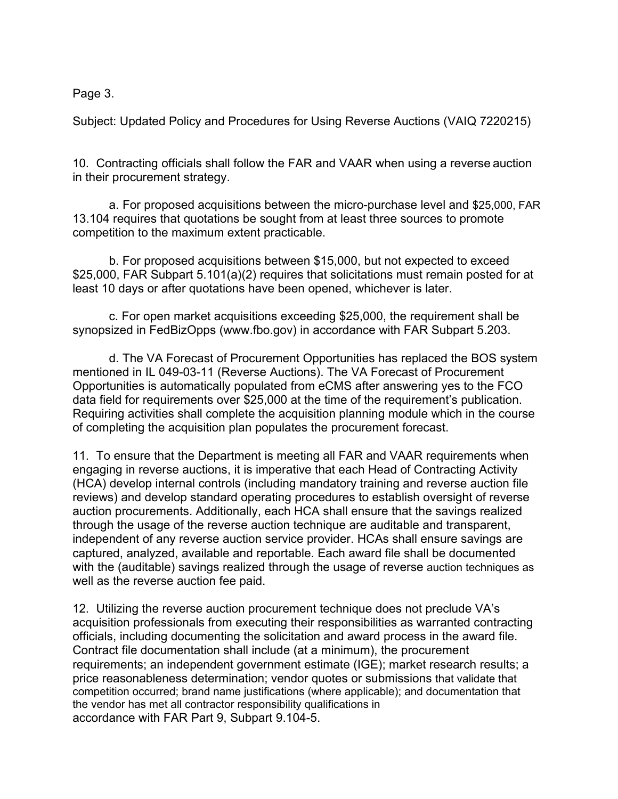Page 3.

Subject: Updated Policy and Procedures for Using Reverse Auctions (VAIQ 7220215)

10. Contracting officials shall follow the FAR and VAAR when using a reverse auction in their procurement strategy.

a. For proposed acquisitions between the micro-purchase level and \$25,000, FAR 13.104 requires that quotations be sought from at least three sources to promote competition to the maximum extent practicable.

b. For proposed acquisitions between \$15,000, but not expected to exceed \$25,000, FAR Subpart 5.101(a)(2) requires that solicitations must remain posted for at least 10 days or after quotations have been opened, whichever is later.

c. For open market acquisitions exceeding \$25,000, the requirement shall be synopsized in FedBizOpps (www.fbo.gov) in accordance with FAR Subpart 5.203.

d. The VA Forecast of Procurement Opportunities has replaced the BOS system mentioned in IL 049-03-11 (Reverse Auctions). The VA Forecast of Procurement Opportunities is automatically populated from eCMS after answering yes to the FCO data field for requirements over \$25,000 at the time of the requirement's publication. Requiring activities shall complete the acquisition planning module which in the course of completing the acquisition plan populates the procurement forecast.

11. To ensure that the Department is meeting all FAR and VAAR requirements when engaging in reverse auctions, it is imperative that each Head of Contracting Activity (HCA) develop internal controls (including mandatory training and reverse auction file reviews) and develop standard operating procedures to establish oversight of reverse auction procurements. Additionally, each HCA shall ensure that the savings realized through the usage of the reverse auction technique are auditable and transparent, independent of any reverse auction service provider. HCAs shall ensure savings are captured, analyzed, available and reportable. Each award file shall be documented with the (auditable) savings realized through the usage of reverse auction techniques as well as the reverse auction fee paid.

12. Utilizing the reverse auction procurement technique does not preclude VA's acquisition professionals from executing their responsibilities as warranted contracting officials, including documenting the solicitation and award process in the award file. Contract file documentation shall include (at a minimum), the procurement requirements; an independent government estimate (IGE); market research results; a price reasonableness determination; vendor quotes or submissions that validate that competition occurred; brand name justifications (where applicable); and documentation that the vendor has met all contractor responsibility qualifications in accordance with FAR Part 9, Subpart 9.104-5.